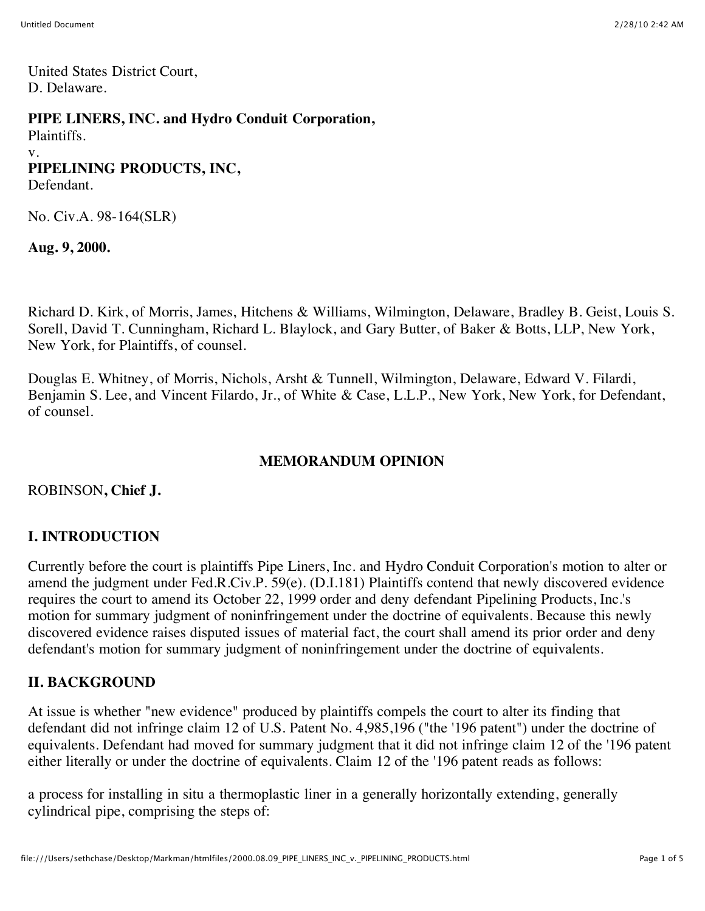United States District Court, D. Delaware.

#### **PIPE LINERS, INC. and Hydro Conduit Corporation,**

Plaintiffs.

#### v.

# **PIPELINING PRODUCTS, INC,**

Defendant.

No. Civ.A. 98-164(SLR)

**Aug. 9, 2000.**

Richard D. Kirk, of Morris, James, Hitchens & Williams, Wilmington, Delaware, Bradley B. Geist, Louis S. Sorell, David T. Cunningham, Richard L. Blaylock, and Gary Butter, of Baker & Botts, LLP, New York, New York, for Plaintiffs, of counsel.

Douglas E. Whitney, of Morris, Nichols, Arsht & Tunnell, Wilmington, Delaware, Edward V. Filardi, Benjamin S. Lee, and Vincent Filardo, Jr., of White & Case, L.L.P., New York, New York, for Defendant, of counsel.

# **MEMORANDUM OPINION**

### ROBINSON**, Chief J.**

# **I. INTRODUCTION**

Currently before the court is plaintiffs Pipe Liners, Inc. and Hydro Conduit Corporation's motion to alter or amend the judgment under Fed.R.Civ.P. 59(e). (D.I.181) Plaintiffs contend that newly discovered evidence requires the court to amend its October 22, 1999 order and deny defendant Pipelining Products, Inc.'s motion for summary judgment of noninfringement under the doctrine of equivalents. Because this newly discovered evidence raises disputed issues of material fact, the court shall amend its prior order and deny defendant's motion for summary judgment of noninfringement under the doctrine of equivalents.

### **II. BACKGROUND**

At issue is whether "new evidence" produced by plaintiffs compels the court to alter its finding that defendant did not infringe claim 12 of U.S. Patent No. 4,985,196 ("the '196 patent") under the doctrine of equivalents. Defendant had moved for summary judgment that it did not infringe claim 12 of the '196 patent either literally or under the doctrine of equivalents. Claim 12 of the '196 patent reads as follows:

a process for installing in situ a thermoplastic liner in a generally horizontally extending, generally cylindrical pipe, comprising the steps of: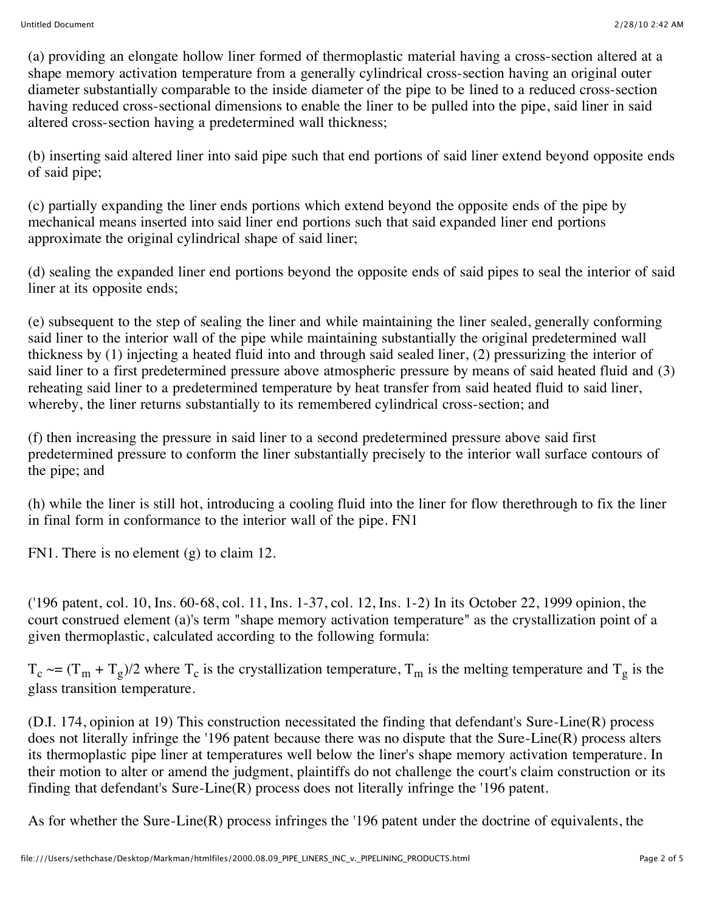(a) providing an elongate hollow liner formed of thermoplastic material having a cross-section altered at a shape memory activation temperature from a generally cylindrical cross-section having an original outer diameter substantially comparable to the inside diameter of the pipe to be lined to a reduced cross-section having reduced cross-sectional dimensions to enable the liner to be pulled into the pipe, said liner in said altered cross-section having a predetermined wall thickness;

(b) inserting said altered liner into said pipe such that end portions of said liner extend beyond opposite ends of said pipe;

(c) partially expanding the liner ends portions which extend beyond the opposite ends of the pipe by mechanical means inserted into said liner end portions such that said expanded liner end portions approximate the original cylindrical shape of said liner;

(d) sealing the expanded liner end portions beyond the opposite ends of said pipes to seal the interior of said liner at its opposite ends;

(e) subsequent to the step of sealing the liner and while maintaining the liner sealed, generally conforming said liner to the interior wall of the pipe while maintaining substantially the original predetermined wall thickness by (1) injecting a heated fluid into and through said sealed liner, (2) pressurizing the interior of said liner to a first predetermined pressure above atmospheric pressure by means of said heated fluid and (3) reheating said liner to a predetermined temperature by heat transfer from said heated fluid to said liner, whereby, the liner returns substantially to its remembered cylindrical cross-section; and

(f) then increasing the pressure in said liner to a second predetermined pressure above said first predetermined pressure to conform the liner substantially precisely to the interior wall surface contours of the pipe; and

(h) while the liner is still hot, introducing a cooling fluid into the liner for flow therethrough to fix the liner in final form in conformance to the interior wall of the pipe. FN1

FN1. There is no element (g) to claim 12.

('196 patent, col. 10, Ins. 60-68, col. 11, Ins. 1-37, col. 12, Ins. 1-2) In its October 22, 1999 opinion, the court construed element (a)'s term "shape memory activation temperature" as the crystallization point of a given thermoplastic, calculated according to the following formula:

 $T_c \sim = (T_m + T_g)/2$  where  $T_c$  is the crystallization temperature,  $T_m$  is the melting temperature and  $T_g$  is the glass transition temperature.

(D.I. 174, opinion at 19) This construction necessitated the finding that defendant's Sure-Line(R) process does not literally infringe the '196 patent because there was no dispute that the Sure-Line(R) process alters its thermoplastic pipe liner at temperatures well below the liner's shape memory activation temperature. In their motion to alter or amend the judgment, plaintiffs do not challenge the court's claim construction or its finding that defendant's Sure-Line(R) process does not literally infringe the '196 patent.

As for whether the Sure-Line(R) process infringes the '196 patent under the doctrine of equivalents, the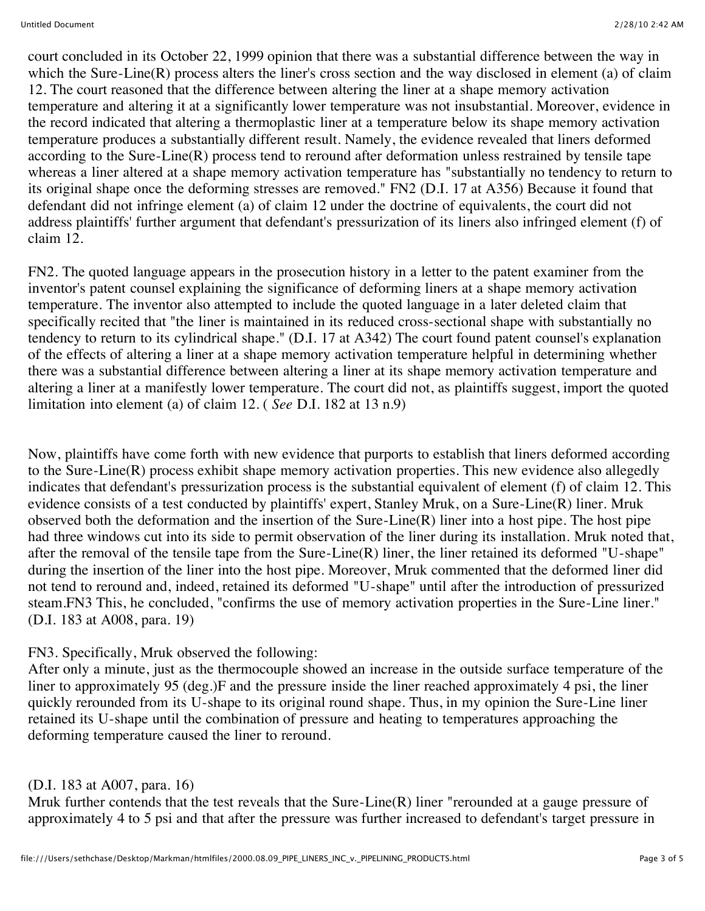court concluded in its October 22, 1999 opinion that there was a substantial difference between the way in which the Sure-Line(R) process alters the liner's cross section and the way disclosed in element (a) of claim 12. The court reasoned that the difference between altering the liner at a shape memory activation temperature and altering it at a significantly lower temperature was not insubstantial. Moreover, evidence in the record indicated that altering a thermoplastic liner at a temperature below its shape memory activation temperature produces a substantially different result. Namely, the evidence revealed that liners deformed according to the Sure-Line(R) process tend to reround after deformation unless restrained by tensile tape whereas a liner altered at a shape memory activation temperature has "substantially no tendency to return to its original shape once the deforming stresses are removed." FN2 (D.I. 17 at A356) Because it found that defendant did not infringe element (a) of claim 12 under the doctrine of equivalents, the court did not address plaintiffs' further argument that defendant's pressurization of its liners also infringed element (f) of claim 12.

FN2. The quoted language appears in the prosecution history in a letter to the patent examiner from the inventor's patent counsel explaining the significance of deforming liners at a shape memory activation temperature. The inventor also attempted to include the quoted language in a later deleted claim that specifically recited that "the liner is maintained in its reduced cross-sectional shape with substantially no tendency to return to its cylindrical shape." (D.I. 17 at A342) The court found patent counsel's explanation of the effects of altering a liner at a shape memory activation temperature helpful in determining whether there was a substantial difference between altering a liner at its shape memory activation temperature and altering a liner at a manifestly lower temperature. The court did not, as plaintiffs suggest, import the quoted limitation into element (a) of claim 12. ( *See* D.I. 182 at 13 n.9)

Now, plaintiffs have come forth with new evidence that purports to establish that liners deformed according to the Sure-Line(R) process exhibit shape memory activation properties. This new evidence also allegedly indicates that defendant's pressurization process is the substantial equivalent of element (f) of claim 12. This evidence consists of a test conducted by plaintiffs' expert, Stanley Mruk, on a Sure-Line(R) liner. Mruk observed both the deformation and the insertion of the Sure-Line $(R)$  liner into a host pipe. The host pipe had three windows cut into its side to permit observation of the liner during its installation. Mruk noted that, after the removal of the tensile tape from the Sure-Line(R) liner, the liner retained its deformed "U-shape" during the insertion of the liner into the host pipe. Moreover, Mruk commented that the deformed liner did not tend to reround and, indeed, retained its deformed "U-shape" until after the introduction of pressurized steam.FN3 This, he concluded, "confirms the use of memory activation properties in the Sure-Line liner." (D.I. 183 at A008, para. 19)

### FN3. Specifically, Mruk observed the following:

After only a minute, just as the thermocouple showed an increase in the outside surface temperature of the liner to approximately 95 (deg.)F and the pressure inside the liner reached approximately 4 psi, the liner quickly rerounded from its U-shape to its original round shape. Thus, in my opinion the Sure-Line liner retained its U-shape until the combination of pressure and heating to temperatures approaching the deforming temperature caused the liner to reround.

#### (D.I. 183 at A007, para. 16)

Mruk further contends that the test reveals that the Sure-Line(R) liner "rerounded at a gauge pressure of approximately 4 to 5 psi and that after the pressure was further increased to defendant's target pressure in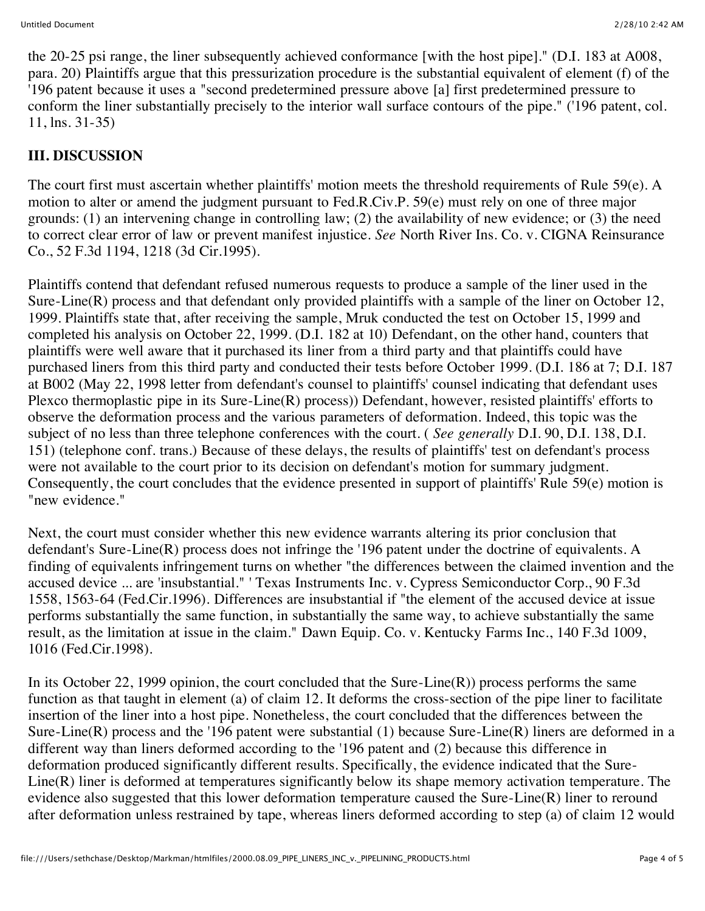the 20-25 psi range, the liner subsequently achieved conformance [with the host pipe]." (D.I. 183 at A008, para. 20) Plaintiffs argue that this pressurization procedure is the substantial equivalent of element (f) of the '196 patent because it uses a "second predetermined pressure above [a] first predetermined pressure to conform the liner substantially precisely to the interior wall surface contours of the pipe." ('196 patent, col. 11, lns. 31-35)

# **III. DISCUSSION**

The court first must ascertain whether plaintiffs' motion meets the threshold requirements of Rule 59(e). A motion to alter or amend the judgment pursuant to Fed.R.Civ.P. 59(e) must rely on one of three major grounds: (1) an intervening change in controlling law; (2) the availability of new evidence; or (3) the need to correct clear error of law or prevent manifest injustice. *See* North River Ins. Co. v. CIGNA Reinsurance Co., 52 F.3d 1194, 1218 (3d Cir.1995).

Plaintiffs contend that defendant refused numerous requests to produce a sample of the liner used in the Sure-Line(R) process and that defendant only provided plaintiffs with a sample of the liner on October 12, 1999. Plaintiffs state that, after receiving the sample, Mruk conducted the test on October 15, 1999 and completed his analysis on October 22, 1999. (D.I. 182 at 10) Defendant, on the other hand, counters that plaintiffs were well aware that it purchased its liner from a third party and that plaintiffs could have purchased liners from this third party and conducted their tests before October 1999. (D.I. 186 at 7; D.I. 187 at B002 (May 22, 1998 letter from defendant's counsel to plaintiffs' counsel indicating that defendant uses Plexco thermoplastic pipe in its Sure-Line(R) process)) Defendant, however, resisted plaintiffs' efforts to observe the deformation process and the various parameters of deformation. Indeed, this topic was the subject of no less than three telephone conferences with the court. ( *See generally* D.I. 90, D.I. 138, D.I. 151) (telephone conf. trans.) Because of these delays, the results of plaintiffs' test on defendant's process were not available to the court prior to its decision on defendant's motion for summary judgment. Consequently, the court concludes that the evidence presented in support of plaintiffs' Rule 59(e) motion is "new evidence."

Next, the court must consider whether this new evidence warrants altering its prior conclusion that defendant's Sure-Line(R) process does not infringe the '196 patent under the doctrine of equivalents. A finding of equivalents infringement turns on whether "the differences between the claimed invention and the accused device ... are 'insubstantial." ' Texas Instruments Inc. v. Cypress Semiconductor Corp., 90 F.3d 1558, 1563-64 (Fed.Cir.1996). Differences are insubstantial if "the element of the accused device at issue performs substantially the same function, in substantially the same way, to achieve substantially the same result, as the limitation at issue in the claim." Dawn Equip. Co. v. Kentucky Farms Inc., 140 F.3d 1009, 1016 (Fed.Cir.1998).

In its October 22, 1999 opinion, the court concluded that the Sure-Line $(R)$ ) process performs the same function as that taught in element (a) of claim 12. It deforms the cross-section of the pipe liner to facilitate insertion of the liner into a host pipe. Nonetheless, the court concluded that the differences between the Sure-Line(R) process and the '196 patent were substantial (1) because Sure-Line(R) liners are deformed in a different way than liners deformed according to the '196 patent and (2) because this difference in deformation produced significantly different results. Specifically, the evidence indicated that the Sure-Line(R) liner is deformed at temperatures significantly below its shape memory activation temperature. The evidence also suggested that this lower deformation temperature caused the Sure-Line(R) liner to reround after deformation unless restrained by tape, whereas liners deformed according to step (a) of claim 12 would